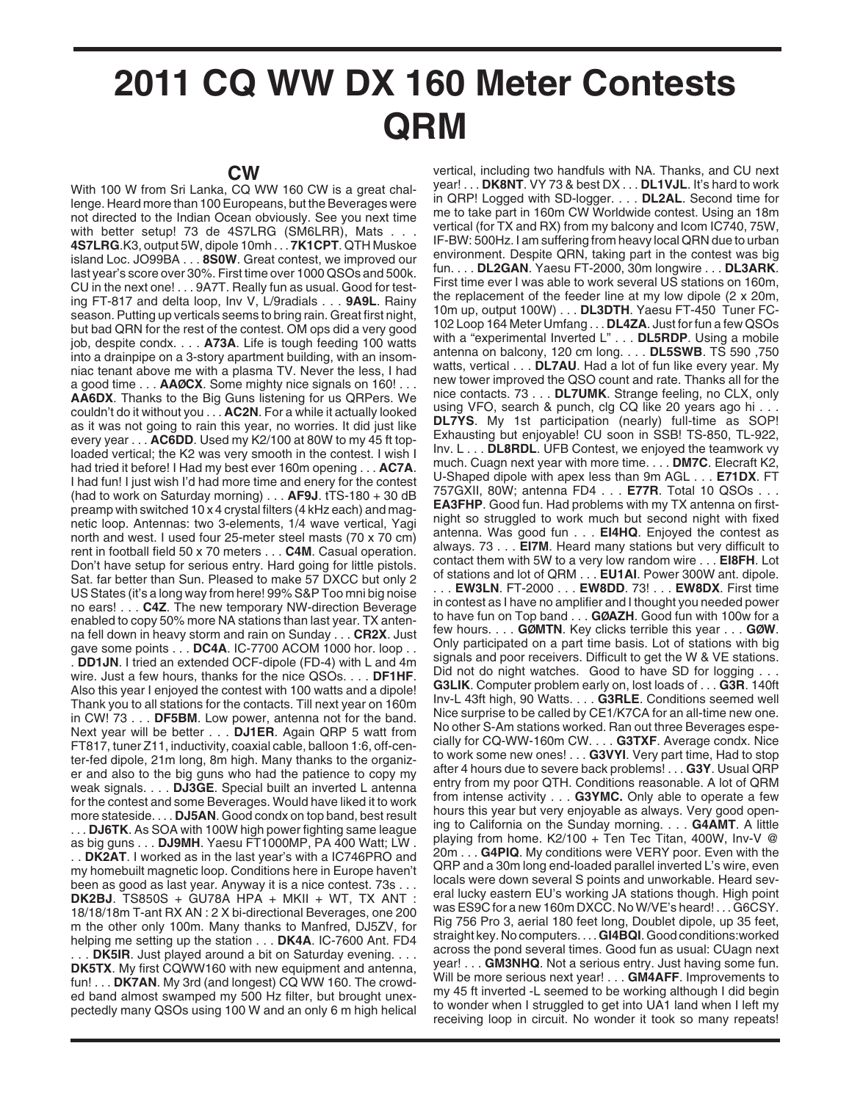## **2011 CQ WW DX 160 Meter Contests QRM**

With 100 W from Sri Lanka, CQ WW 160 CW is a great challenge. Heard more than 100 Europeans, but the Beverages were not directed to the Indian Ocean obviously. See you next time with better setup! 73 de 4S7LRG (SM6LRR), Mats . . . **4S7LRG**.K3, output 5W, dipole 10mh . . . **7K1CPT**. QTH Muskoe island Loc. JO99BA . . . **8S0W**. Great contest, we improved our last year's score over 30%. First time over 1000 QSOs and 500k. CU in the next one! . . . 9A7T. Really fun as usual. Good for testing FT-817 and delta loop, Inv V, L/9radials . . . **9A9L**. Rainy season. Putting up verticals seems to bring rain. Great first night, but bad QRN for the rest of the contest. OM ops did a very good job, despite condx. . . . **A73A**. Life is tough feeding 100 watts into a drainpipe on a 3-story apartment building, with an insomniac tenant above me with a plasma TV. Never the less, I had a good time . . . **AAØCX**. Some mighty nice signals on 160! . . . **AA6DX**. Thanks to the Big Guns listening for us QRPers. We couldn't do it without you . . . **AC2N**. For a while it actually looked as it was not going to rain this year, no worries. It did just like every year . . . **AC6DD**. Used my K2/100 at 80W to my 45 ft toploaded vertical; the K2 was very smooth in the contest. I wish I had tried it before! I Had my best ever 160m opening . . . **AC7A**. I had fun! I just wish I'd had more time and enery for the contest (had to work on Saturday morning) . . . **AF9J**. tTS-180 + 30 dB preamp with switched 10 x 4 crystal filters (4 kHz each) and magnetic loop. Antennas: two 3-elements, 1/4 wave vertical, Yagi north and west. I used four 25-meter steel masts (70 x 70 cm) rent in football field 50 x 70 meters . . . **C4M**. Casual operation. Don't have setup for serious entry. Hard going for little pistols. Sat. far better than Sun. Pleased to make 57 DXCC but only 2 US States (it's a long way from here! 99% S&P Too mni big noise no ears! . . . **C4Z**. The new temporary NW-direction Beverage enabled to copy 50% more NA stations than last year. TX antenna fell down in heavy storm and rain on Sunday . . . **CR2X**. Just gave some points . . . **DC4A**. IC-7700 ACOM 1000 hor. loop . . . **DD1JN**. I tried an extended OCF-dipole (FD-4) with L and 4m wire. Just a few hours, thanks for the nice QSOs. . . . **DF1HF**. Also this year I enjoyed the contest with 100 watts and a dipole! Thank you to all stations for the contacts. Till next year on 160m in CW! 73 . . . **DF5BM**. Low power, antenna not for the band. Next year will be better . . . **DJ1ER**. Again QRP 5 watt from FT817, tuner Z11, inductivity, coaxial cable, balloon 1:6, off-center-fed dipole, 21m long, 8m high. Many thanks to the organizer and also to the big guns who had the patience to copy my weak signals. . . . **DJ3GE**. Special built an inverted L antenna for the contest and some Beverages. Would have liked it to work more stateside. . . . **DJ5AN**. Good condx on top band, best result . . . **DJ6TK**. As SOA with 100W high power fighting same league as big guns . . . **DJ9MH**. Yaesu FT1000MP, PA 400 Watt; LW . . . **DK2AT**. I worked as in the last year's with a IC746PRO and my homebuilt magnetic loop. Conditions here in Europe haven't been as good as last year. Anyway it is a nice contest. 73s . . . **DK2BJ**. TS850S + GU78A HPA + MKII + WT, TX ANT : 18/18/18m T-ant RX AN : 2 X bi-directional Beverages, one 200 m the other only 100m. Many thanks to Manfred, DJ5ZV, for helping me setting up the station . . . **DK4A**. IC-7600 Ant. FD4 **DK5IR.** Just played around a bit on Saturday evening. . . . **DK5TX**. My first CQWW160 with new equipment and antenna, fun! . . . **DK7AN**. My 3rd (and longest) CQ WW 160. The crowded band almost swamped my 500 Hz filter, but brought unexpectedly many QSOs using 100 W and an only 6 m high helical

vertical, including two handfuls with NA. Thanks, and CU next year! . . . **DK8NT**. VY 73 & best DX . . . **DL1VJL**. It's hard to work in QRP! Logged with SD-logger. . . . **DL2AL**. Second time for me to take part in 160m CW Worldwide contest. Using an 18m vertical (for TX and RX) from my balcony and Icom IC740, 75W, IF-BW: 500Hz. I am suffering from heavy local QRN due to urban environment. Despite QRN, taking part in the contest was big fun. . . . **DL2GAN**. Yaesu FT-2000, 30m longwire . . . **DL3ARK**. First time ever I was able to work several US stations on 160m, the replacement of the feeder line at my low dipole (2 x 20m, 10m up, output 100W) . . . **DL3DTH**. Yaesu FT-450 Tuner FC-102 Loop 164 Meter Umfang . . . **DL4ZA**. Just for fun a few QSOs with a "experimental Inverted L" . . . **DL5RDP**. Using a mobile antenna on balcony, 120 cm long. . . . **DL5SWB**. TS 590 ,750 watts, vertical . . . **DL7AU**. Had a lot of fun like every year. My new tower improved the QSO count and rate. Thanks all for the nice contacts. 73 . . . **DL7UMK**. Strange feeling, no CLX, only using VFO, search & punch, clg CQ like 20 years ago hi . **DL7YS**. My 1st participation (nearly) full-time as SOP! Exhausting but enjoyable! CU soon in SSB! TS-850, TL-922, Inv. L . . . **DL8RDL**. UFB Contest, we enjoyed the teamwork vy much. Cuagn next year with more time. . . . **DM7C**. Elecraft K2, U-Shaped dipole with apex less than 9m AGL . . . **E71DX**. FT 757GXII, 80W; antenna FD4 . . . **E77R**. Total 10 QSOs . . . **EA3FHP**. Good fun. Had problems with my TX antenna on firstnight so struggled to work much but second night with fixed antenna. Was good fun . . . **EI4HQ**. Enjoyed the contest as always. 73 . . . **EI7M**. Heard many stations but very difficult to contact them with 5W to a very low random wire . . . **EI8FH**. Lot of stations and lot of QRM . . . **EU1AI**. Power 300W ant. dipole. . . . **EW3LN**. FT-2000 . . . **EW8DD**. 73! . . . **EW8DX**. First time in contest as I have no amplifier and I thought you needed power to have fun on Top band . . . **GØAZH**. Good fun with 100w for a few hours. . . . **GØMTN**. Key clicks terrible this year . . . **GØW**. Only participated on a part time basis. Lot of stations with big signals and poor receivers. Difficult to get the W & VE stations. Did not do night watches. Good to have SD for logging . . . **G3LIK**. Computer problem early on, lost loads of . . . **G3R**. 140ft Inv-L 43ft high, 90 Watts. . . . **G3RLE**. Conditions seemed well Nice surprise to be called by CE1/K7CA for an all-time new one. No other S-Am stations worked. Ran out three Beverages especially for CQ-WW-160m CW. . . . **G3TXF**. Average condx. Nice to work some new ones! . . . **G3VYI**. Very part time, Had to stop after 4 hours due to severe back problems! . . . **G3Y**. Usual QRP entry from my poor QTH. Conditions reasonable. A lot of QRM from intense activity . . . **G3YMC.** Only able to operate a few hours this year but very enjoyable as always. Very good opening to California on the Sunday morning. . . . **G4AMT**. A little playing from home. K2/100 + Ten Tec Titan, 400W, Inv-V @ 20m . . . **G4PIQ**. My conditions were VERY poor. Even with the QRP and a 30m long end-loaded parallel inverted L's wire, even locals were down several S points and unworkable. Heard several lucky eastern EU's working JA stations though. High point was ES9C for a new 160m DXCC. No W/VE's heard! . . . G6CSY. Rig 756 Pro 3, aerial 180 feet long, Doublet dipole, up 35 feet, straight key. No computers. . . . **GI4BQI**. Good conditions:worked across the pond several times. Good fun as usual: CUagn next year! . . . **GM3NHQ**. Not a serious entry. Just having some fun. Will be more serious next year! . . . **GM4AFF**. Improvements to my 45 ft inverted -L seemed to be working although I did begin to wonder when I struggled to get into UA1 land when I left my receiving loop in circuit. No wonder it took so many repeats!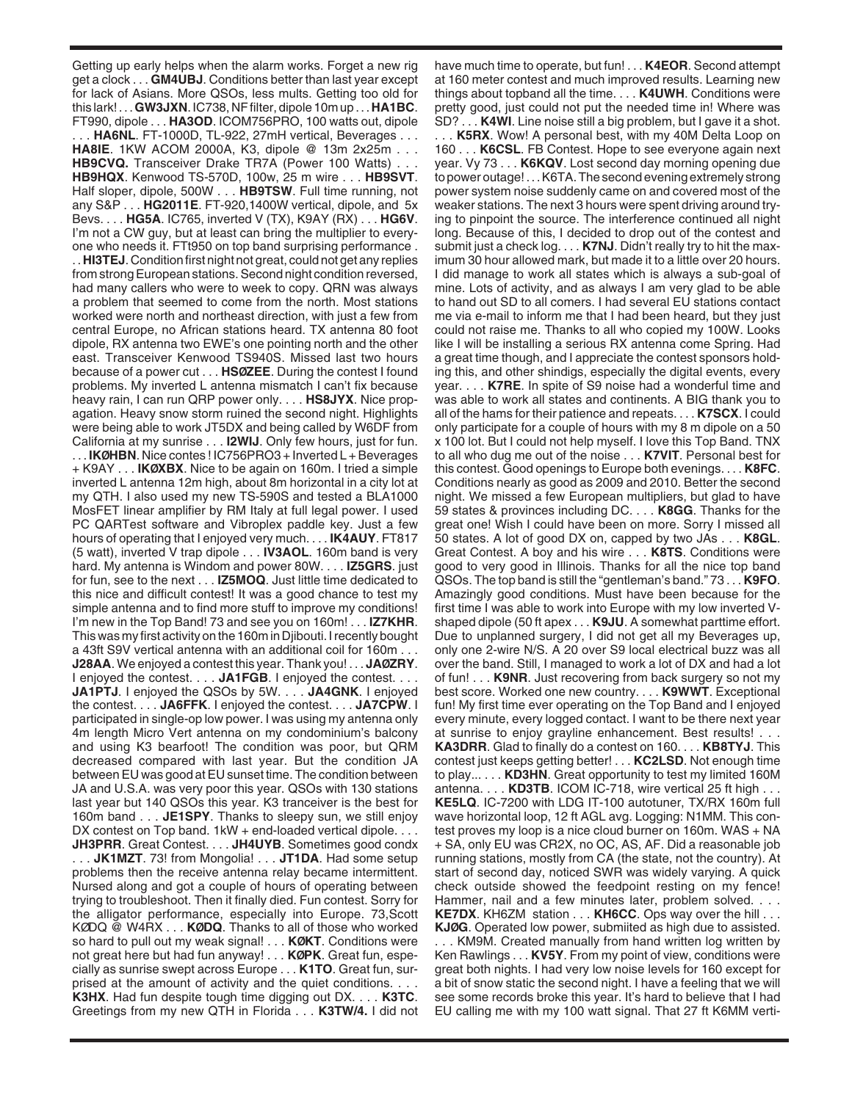Getting up early helps when the alarm works. Forget a new rig get a clock . . . **GM4UBJ**. Conditions better than last year except for lack of Asians. More QSOs, less mults. Getting too old for this lark! . . . **GW3JXN**. IC738, NF filter, dipole 10m up . . . **HA1BC**. FT990, dipole . . . **HA3OD**. ICOM756PRO, 100 watts out, dipole

. . . **HA6NL**. FT-1000D, TL-922, 27mH vertical, Beverages . . . **HA8IE**. 1KW ACOM 2000A, K3, dipole @ 13m 2x25m . . . **HB9CVQ.** Transceiver Drake TR7A (Power 100 Watts) . . . **HB9HQX**. Kenwood TS-570D, 100w, 25 m wire . . . **HB9SVT**. Half sloper, dipole, 500W . . . **HB9TSW**. Full time running, not any S&P . . . **HG2011E**. FT-920,1400W vertical, dipole, and 5x Bevs. . . . **HG5A**. IC765, inverted V (TX), K9AY (RX) . . . **HG6V**. I'm not a CW guy, but at least can bring the multiplier to everyone who needs it. FTt950 on top band surprising performance .

. . **HI3TEJ**. Condition first night not great, could not get any replies from strong European stations. Second night condition reversed, had many callers who were to week to copy. QRN was always a problem that seemed to come from the north. Most stations worked were north and northeast direction, with just a few from central Europe, no African stations heard. TX antenna 80 foot dipole, RX antenna two EWE's one pointing north and the other east. Transceiver Kenwood TS940S. Missed last two hours because of a power cut . . . **HSØZEE**. During the contest I found problems. My inverted L antenna mismatch I can't fix because heavy rain, I can run QRP power only. . . . **HS8JYX**. Nice propagation. Heavy snow storm ruined the second night. Highlights were being able to work JT5DX and being called by W6DF from California at my sunrise . . . **I2WIJ**. Only few hours, just for fun. . . . **IKØHBN**. Nice contes ! IC756PRO3 + Inverted L + Beverages + K9AY . . . **IKØXBX**. Nice to be again on 160m. I tried a simple inverted L antenna 12m high, about 8m horizontal in a city lot at my QTH. I also used my new TS-590S and tested a BLA1000 MosFET linear amplifier by RM Italy at full legal power. I used PC QARTest software and Vibroplex paddle key. Just a few hours of operating that I enjoyed very much. . . . **IK4AUY**. FT817 (5 watt), inverted V trap dipole . . . **IV3AOL**. 160m band is very hard. My antenna is Windom and power 80W. . . . **IZ5GRS**. just for fun, see to the next . . . **IZ5MOQ**. Just little time dedicated to this nice and difficult contest! It was a good chance to test my simple antenna and to find more stuff to improve my conditions! I'm new in the Top Band! 73 and see you on 160m! . . . **IZ7KHR**. This was my first activity on the 160m in Djibouti. I recently bought a 43ft S9V vertical antenna with an additional coil for 160m . . . **J28AA**. We enjoyed a contest this year. Thank you! . . . **JAØZRY**. I enjoyed the contest. . . . **JA1FGB**. I enjoyed the contest. . . . **JA1PTJ**. I enjoyed the QSOs by 5W. . . . **JA4GNK**. I enjoyed the contest. . . . **JA6FFK**. I enjoyed the contest. . . . **JA7CPW**. I participated in single-op low power. I was using my antenna only 4m length Micro Vert antenna on my condominium's balcony and using K3 bearfoot! The condition was poor, but QRM decreased compared with last year. But the condition JA between EU was good at EU sunset time. The condition between JA and U.S.A. was very poor this year. QSOs with 130 stations last year but 140 QSOs this year. K3 tranceiver is the best for 160m band . . . **JE1SPY**. Thanks to sleepy sun, we still enjoy DX contest on Top band. 1kW + end-loaded vertical dipole. . . . **JH3PRR**. Great Contest. . . . **JH4UYB**. Sometimes good condx . . . **JK1MZT**. 73! from Mongolia! . . . **JT1DA**. Had some setup problems then the receive antenna relay became intermittent. Nursed along and got a couple of hours of operating between trying to troubleshoot. Then it finally died. Fun contest. Sorry for the alligator performance, especially into Europe. 73,Scott KØDQ @ W4RX . . . **KØDQ**. Thanks to all of those who worked so hard to pull out my weak signal! . . . **KØKT**. Conditions were not great here but had fun anyway! . . . **KØPK**. Great fun, espe-

cially as sunrise swept across Europe . . . **K1TO**. Great fun, surprised at the amount of activity and the quiet conditions. . . . **K3HX**. Had fun despite tough time digging out DX. . . . **K3TC**. Greetings from my new QTH in Florida . . . **K3TW/4.** I did not have much time to operate, but fun! . . . **K4EOR**. Second attempt at 160 meter contest and much improved results. Learning new things about topband all the time. . . . **K4UWH**. Conditions were pretty good, just could not put the needed time in! Where was SD? . . . **K4WI**. Line noise still a big problem, but I gave it a shot.

. . . **K5RX**. Wow! A personal best, with my 40M Delta Loop on 160 . . . **K6CSL**. FB Contest. Hope to see everyone again next year. Vy 73 . . . **K6KQV**. Lost second day morning opening due to power outage! . . . K6TA. The second evening extremely strong power system noise suddenly came on and covered most of the weaker stations. The next 3 hours were spent driving around trying to pinpoint the source. The interference continued all night long. Because of this, I decided to drop out of the contest and submit just a check log. . . . **K7NJ**. Didn't really try to hit the maximum 30 hour allowed mark, but made it to a little over 20 hours. I did manage to work all states which is always a sub-goal of mine. Lots of activity, and as always I am very glad to be able to hand out SD to all comers. I had several EU stations contact me via e-mail to inform me that I had been heard, but they just could not raise me. Thanks to all who copied my 100W. Looks like I will be installing a serious RX antenna come Spring. Had a great time though, and I appreciate the contest sponsors holding this, and other shindigs, especially the digital events, every year. . . . **K7RE**. In spite of S9 noise had a wonderful time and was able to work all states and continents. A BIG thank you to all of the hams for their patience and repeats. . . . **K7SCX**. I could only participate for a couple of hours with my 8 m dipole on a 50 x 100 lot. But I could not help myself. I love this Top Band. TNX to all who dug me out of the noise . . . **K7VIT**. Personal best for this contest. Good openings to Europe both evenings. . . . **K8FC**. Conditions nearly as good as 2009 and 2010. Better the second night. We missed a few European multipliers, but glad to have 59 states & provinces including DC. . . . **K8GG**. Thanks for the great one! Wish I could have been on more. Sorry I missed all 50 states. A lot of good DX on, capped by two JAs . . . **K8GL**. Great Contest. A boy and his wire . . . **K8TS**. Conditions were good to very good in Illinois. Thanks for all the nice top band QSOs. The top band is still the "gentleman's band." 73 . . . **K9FO**. Amazingly good conditions. Must have been because for the first time I was able to work into Europe with my low inverted Vshaped dipole (50 ft apex . . . **K9JU**. A somewhat parttime effort. Due to unplanned surgery, I did not get all my Beverages up, only one 2-wire N/S. A 20 over S9 local electrical buzz was all over the band. Still, I managed to work a lot of DX and had a lot of fun! . . . **K9NR**. Just recovering from back surgery so not my best score. Worked one new country. . . . **K9WWT**. Exceptional fun! My first time ever operating on the Top Band and I enjoyed every minute, every logged contact. I want to be there next year at sunrise to enjoy grayline enhancement. Best results! . . . **KA3DRR**. Glad to finally do a contest on 160. . . . **KB8TYJ**. This contest just keeps getting better! . . . **KC2LSD**. Not enough time to play... . . . **KD3HN**. Great opportunity to test my limited 160M antenna. . . . **KD3TB**. ICOM IC-718, wire vertical 25 ft high . . . **KE5LQ**. IC-7200 with LDG IT-100 autotuner, TX/RX 160m full wave horizontal loop, 12 ft AGL avg. Logging: N1MM. This contest proves my loop is a nice cloud burner on 160m. WAS + NA + SA, only EU was CR2X, no OC, AS, AF. Did a reasonable job running stations, mostly from CA (the state, not the country). At start of second day, noticed SWR was widely varying. A quick check outside showed the feedpoint resting on my fence! Hammer, nail and a few minutes later, problem solved. . . . **KE7DX**. KH6ZM station . . . **KH6CC**. Ops way over the hill . . . **KJØG**. Operated low power, submiited as high due to assisted. . . . KM9M. Created manually from hand written log written by

Ken Rawlings . . . **KV5Y**. From my point of view, conditions were great both nights. I had very low noise levels for 160 except for a bit of snow static the second night. I have a feeling that we will see some records broke this year. It's hard to believe that I had EU calling me with my 100 watt signal. That 27 ft K6MM verti-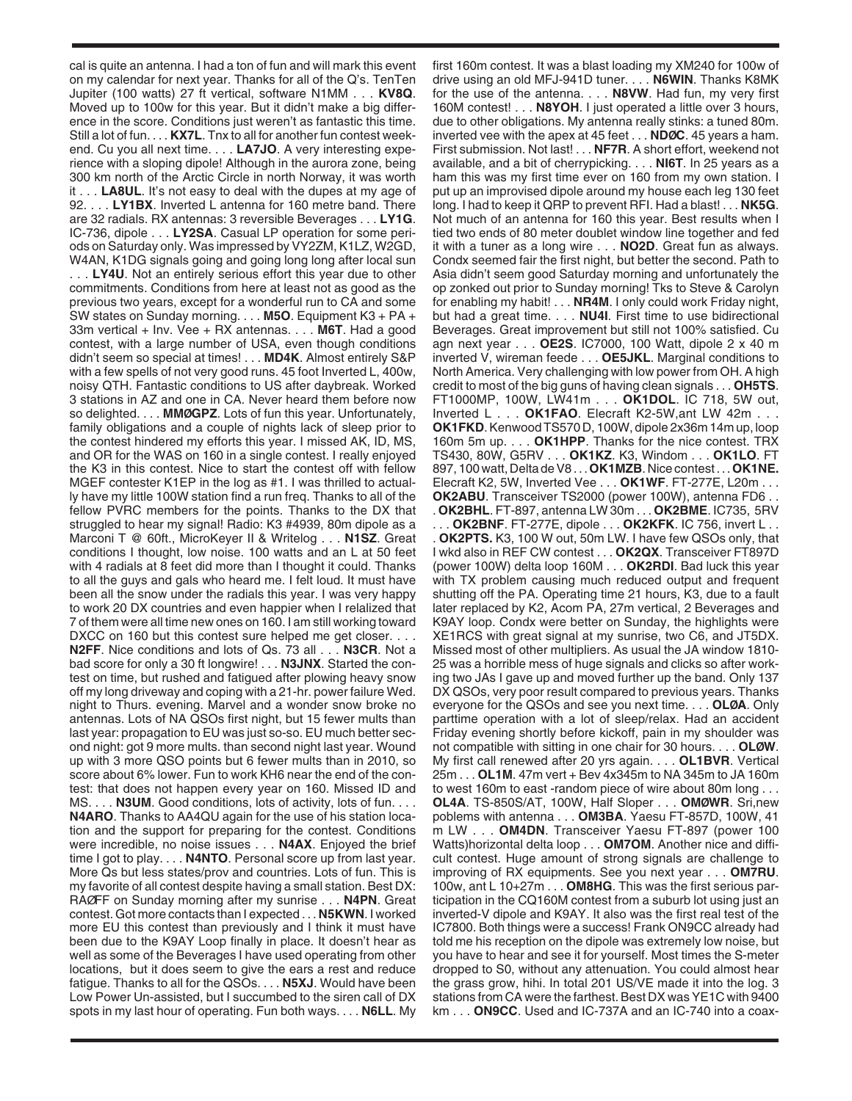cal is quite an antenna. I had a ton of fun and will mark this event on my calendar for next year. Thanks for all of the Q's. TenTen Jupiter (100 watts) 27 ft vertical, software N1MM . . . **KV8Q**. Moved up to 100w for this year. But it didn't make a big difference in the score. Conditions just weren't as fantastic this time. Still a lot of fun. . . . **KX7L**. Tnx to all for another fun contest weekend. Cu you all next time. . . . **LA7JO**. A very interesting experience with a sloping dipole! Although in the aurora zone, being 300 km north of the Arctic Circle in north Norway, it was worth it . . . **LA8UL**. It's not easy to deal with the dupes at my age of 92. . . . **LY1BX**. Inverted L antenna for 160 metre band. There are 32 radials. RX antennas: 3 reversible Beverages . . . **LY1G**. IC-736, dipole . . . **LY2SA**. Casual LP operation for some periods on Saturday only. Was impressed by VY2ZM, K1LZ, W2GD, W4AN, K1DG signals going and going long long after local sun . . . **LY4U**. Not an entirely serious effort this year due to other commitments. Conditions from here at least not as good as the previous two years, except for a wonderful run to CA and some SW states on Sunday morning. . . . **M5O**. Equipment K3 + PA + 33m vertical + Inv. Vee + RX antennas. . . . **M6T**. Had a good contest, with a large number of USA, even though conditions didn't seem so special at times! . . . **MD4K**. Almost entirely S&P with a few spells of not very good runs. 45 foot Inverted L, 400w, noisy QTH. Fantastic conditions to US after daybreak. Worked 3 stations in AZ and one in CA. Never heard them before now so delighted. . . . **MMØGPZ**. Lots of fun this year. Unfortunately, family obligations and a couple of nights lack of sleep prior to the contest hindered my efforts this year. I missed AK, ID, MS, and OR for the WAS on 160 in a single contest. I really enjoyed the K3 in this contest. Nice to start the contest off with fellow MGEF contester K1EP in the log as #1. I was thrilled to actually have my little 100W station find a run freq. Thanks to all of the fellow PVRC members for the points. Thanks to the DX that struggled to hear my signal! Radio: K3 #4939, 80m dipole as a Marconi T @ 60ft., MicroKeyer II & Writelog . . . **N1SZ**. Great conditions I thought, low noise. 100 watts and an L at 50 feet with 4 radials at 8 feet did more than I thought it could. Thanks to all the guys and gals who heard me. I felt loud. It must have been all the snow under the radials this year. I was very happy to work 20 DX countries and even happier when I relalized that 7 of them were all time new ones on 160. I am still working toward DXCC on 160 but this contest sure helped me get closer. . . . **N2FF**. Nice conditions and lots of Qs. 73 all . . . **N3CR**. Not a bad score for only a 30 ft longwire! . . . **N3JNX**. Started the contest on time, but rushed and fatigued after plowing heavy snow off my long driveway and coping with a 21-hr. power failure Wed. night to Thurs. evening. Marvel and a wonder snow broke no antennas. Lots of NA QSOs first night, but 15 fewer mults than last year: propagation to EU was just so-so. EU much better second night: got 9 more mults. than second night last year. Wound up with 3 more QSO points but 6 fewer mults than in 2010, so score about 6% lower. Fun to work KH6 near the end of the contest: that does not happen every year on 160. Missed ID and MS. . . . **N3UM**. Good conditions, lots of activity, lots of fun. . . . **N4ARO**. Thanks to AA4QU again for the use of his station location and the support for preparing for the contest. Conditions were incredible, no noise issues . . . **N4AX**. Enjoyed the brief time I got to play. . . . **N4NTO**. Personal score up from last year. More Qs but less states/prov and countries. Lots of fun. This is my favorite of all contest despite having a small station. Best DX: RAØFF on Sunday morning after my sunrise . . . **N4PN**. Great contest. Got more contacts than I expected . . . **N5KWN**. I worked more EU this contest than previously and I think it must have been due to the K9AY Loop finally in place. It doesn't hear as well as some of the Beverages I have used operating from other locations, but it does seem to give the ears a rest and reduce fatigue. Thanks to all for the QSOs. . . . **N5XJ**. Would have been Low Power Un-assisted, but I succumbed to the siren call of DX spots in my last hour of operating. Fun both ways. . . . **N6LL**. My

first 160m contest. It was a blast loading my XM240 for 100w of drive using an old MFJ-941D tuner. . . . **N6WIN**. Thanks K8MK for the use of the antenna. . . . **N8VW**. Had fun, my very first 160M contest! . . . **N8YOH**. I just operated a little over 3 hours, due to other obligations. My antenna really stinks: a tuned 80m. inverted vee with the apex at 45 feet . . . **NDØC**. 45 years a ham. First submission. Not last! . . . **NF7R**. A short effort, weekend not available, and a bit of cherrypicking. . . . **NI6T**. In 25 years as a ham this was my first time ever on 160 from my own station. I put up an improvised dipole around my house each leg 130 feet long. I had to keep it QRP to prevent RFI. Had a blast! . . . **NK5G**. Not much of an antenna for 160 this year. Best results when I tied two ends of 80 meter doublet window line together and fed it with a tuner as a long wire . . . **NO2D**. Great fun as always. Condx seemed fair the first night, but better the second. Path to Asia didn't seem good Saturday morning and unfortunately the op zonked out prior to Sunday morning! Tks to Steve & Carolyn for enabling my habit! . . . **NR4M**. I only could work Friday night, but had a great time. . . . **NU4I**. First time to use bidirectional Beverages. Great improvement but still not 100% satisfied. Cu agn next year . . . **OE2S**. IC7000, 100 Watt, dipole 2 x 40 m inverted V, wireman feede . . . **OE5JKL**. Marginal conditions to North America. Very challenging with low power from OH. A high credit to most of the big guns of having clean signals . . . **OH5TS**. FT1000MP, 100W, LW41m . . . **OK1DOL**. IC 718, 5W out, Inverted L . . . **OK1FAO**. Elecraft K2-5W,ant LW 42m . . . **OK1FKD**. Kenwood TS570 D, 100W, dipole 2x36m 14m up, loop 160m 5m up. . . . **OK1HPP**. Thanks for the nice contest. TRX TS430, 80W, G5RV . . . **OK1KZ**. K3, Windom . . . **OK1LO**. FT 897, 100 watt, Delta de V8 . . . **OK1MZB**. Nice contest . . . **OK1NE.** Elecraft K2, 5W, Inverted Vee . . . **OK1WF**. FT-277E, L20m . . . **OK2ABU**. Transceiver TS2000 (power 100W), antenna FD6 . . . **OK2BHL**. FT-897, antenna LW 30m . . . **OK2BME**. IC735, 5RV

. . . **OK2BNF**. FT-277E, dipole . . . **OK2KFK**. IC 756, invert L . . . **OK2PTS.** K3, 100 W out, 50m LW. I have few QSOs only, that I wkd also in REF CW contest . . . **OK2QX**. Transceiver FT897D (power 100W) delta loop 160M . . . **OK2RDI**. Bad luck this year with TX problem causing much reduced output and frequent shutting off the PA. Operating time 21 hours, K3, due to a fault later replaced by K2, Acom PA, 27m vertical, 2 Beverages and K9AY loop. Condx were better on Sunday, the highlights were XE1RCS with great signal at my sunrise, two C6, and JT5DX. Missed most of other multipliers. As usual the JA window 1810- 25 was a horrible mess of huge signals and clicks so after working two JAs I gave up and moved further up the band. Only 137 DX QSOs, very poor result compared to previous years. Thanks everyone for the QSOs and see you next time. . . . **OLØA**. Only parttime operation with a lot of sleep/relax. Had an accident Friday evening shortly before kickoff, pain in my shoulder was not compatible with sitting in one chair for 30 hours. . . . **OLØW**. My first call renewed after 20 yrs again. . . . **OL1BVR**. Vertical 25m . . . **OL1M**. 47m vert + Bev 4x345m to NA 345m to JA 160m to west 160m to east -random piece of wire about 80m long . . . **OL4A**. TS-850S/AT, 100W, Half Sloper . . . **OMØWR**. Sri,new poblems with antenna . . . **OM3BA**. Yaesu FT-857D, 100W, 41 m LW . . . **OM4DN**. Transceiver Yaesu FT-897 (power 100 Watts)horizontal delta loop . . . **OM7OM**. Another nice and difficult contest. Huge amount of strong signals are challenge to improving of RX equipments. See you next year . . . **OM7RU**. 100w, ant L 10+27m . . . **OM8HG**. This was the first serious participation in the CQ160M contest from a suburb lot using just an inverted-V dipole and K9AY. It also was the first real test of the IC7800. Both things were a success! Frank ON9CC already had told me his reception on the dipole was extremely low noise, but you have to hear and see it for yourself. Most times the S-meter dropped to S0, without any attenuation. You could almost hear the grass grow, hihi. In total 201 US/VE made it into the log. 3 stations from CA were the farthest. Best DX was YE1C with 9400 km . . . **ON9CC**. Used and IC-737A and an IC-740 into a coax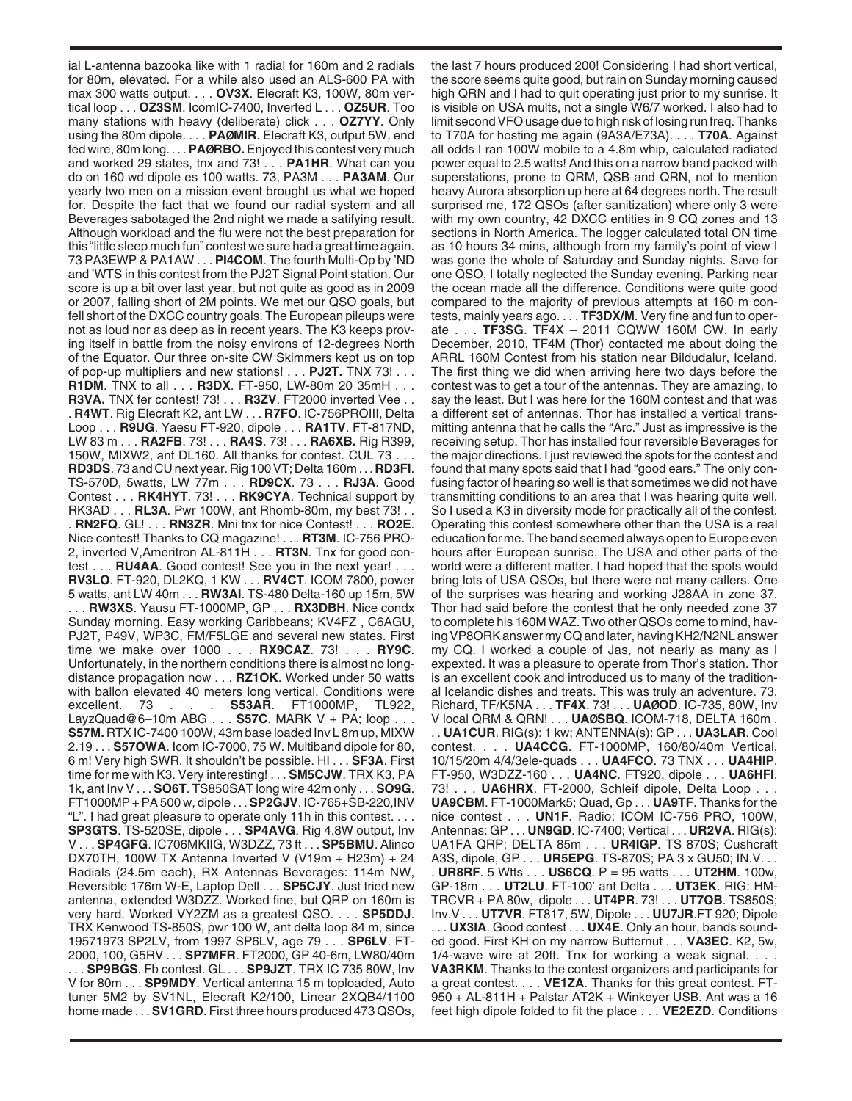ial L-antenna bazooka like with 1 radial for 160m and 2 radials for 80m, elevated. For a while also used an ALS-600 PA with max 300 watts output. . . . **OV3X**. Elecraft K3, 100W, 80m vertical loop . . . **OZ3SM**. IcomIC-7400, Inverted L . . . **OZ5UR**. Too many stations with heavy (deliberate) click . . . **OZ7YY**. Only using the 80m dipole. . . . **PAØMIR**. Elecraft K3, output 5W, end fed wire, 80m long. . . . **PAØRBO.**Enjoyed this contest very much and worked 29 states, tnx and 73! . . . **PA1HR**. What can you do on 160 wd dipole es 100 watts. 73, PA3M . . . **PA3AM**. Our yearly two men on a mission event brought us what we hoped for. Despite the fact that we found our radial system and all Beverages sabotaged the 2nd night we made a satifying result. Although workload and the flu were not the best preparation for this "little sleep much fun" contest we sure had a great time again. 73 PA3EWP & PA1AW . . . **PI4COM**. The fourth Multi-Op by 'ND and 'WTS in this contest from the PJ2T Signal Point station. Our score is up a bit over last year, but not quite as good as in 2009 or 2007, falling short of 2M points. We met our QSO goals, but fell short of the DXCC country goals. The European pileups were not as loud nor as deep as in recent years. The K3 keeps proving itself in battle from the noisy environs of 12-degrees North of the Equator. Our three on-site CW Skimmers kept us on top of pop-up multipliers and new stations! . . . **PJ2T.** TNX 73! . . . **R1DM**. TNX to all . . . **R3DX**. FT-950, LW-80m 20 35mH . . . **R3VA.** TNX fer contest! 73! . . . **R3ZV**. FT2000 inverted Vee . . . **R4WT**. Rig Elecraft K2, ant LW . . . **R7FO**. IC-756PROIII, Delta Loop . . . **R9UG**. Yaesu FT-920, dipole . . . **RA1TV**. FT-817ND, LW 83 m . . . **RA2FB**. 73! . . . **RA4S**. 73! . . . **RA6XB.** Rig R399, 150W, MIXW2, ant DL160. All thanks for contest. CUL 73 . . . **RD3DS**. 73 and CU next year. Rig 100 VT; Delta 160m . . . **RD3FI**. TS-570D, 5watts, LW 77m . . . **RD9CX**. 73 . . . **RJ3A**. Good Contest . . . **RK4HYT**. 73! . . . **RK9CYA**. Technical support by RK3AD . . . **RL3A**. Pwr 100W, ant Rhomb-80m, my best 73! . . . **RN2FQ**. GL! . . . **RN3ZR**. Mni tnx for nice Contest! . . . **RO2E**. Nice contest! Thanks to CQ magazine! . . . **RT3M**. IC-756 PRO-2, inverted V,Ameritron AL-811H . . . **RT3N**. Tnx for good contest . . . **RU4AA**. Good contest! See you in the next year! . . . **RV3LO**. FT-920, DL2KQ, 1 KW . . . **RV4CT**. ICOM 7800, power 5 watts, ant LW 40m . . . **RW3AI**. TS-480 Delta-160 up 15m, 5W . . . **RW3XS**. Yausu FT-1000MP, GP . . . **RX3DBH**. Nice condx Sunday morning. Easy working Caribbeans; KV4FZ , C6AGU, PJ2T, P49V, WP3C, FM/F5LGE and several new states. First time we make over 1000 . . . **RX9CAZ**. 73! . . . **RY9C**. Unfortunately, in the northern conditions there is almost no longdistance propagation now . . . **RZ1OK**. Worked under 50 watts with ballon elevated 40 meters long vertical. Conditions were . **S53AR.** FT1000MP, LayzQuad@6–10m ABG . . . **S57C**. MARK V + PA; loop . . . **S57M.** RTX IC-7400 100W, 43m base loaded Inv L 8m up, MIXW 2.19 . . . **S57OWA**. Icom IC-7000, 75 W. Multiband dipole for 80, 6 m! Very high SWR. It shouldn't be possible. HI . . . **SF3A**. First time for me with K3. Very interesting! . . . **SM5CJW**. TRX K3, PA 1k, ant Inv V . . . **SO6T**. TS850SAT long wire 42m only . . . **SO9G**. FT1000MP + PA 500 w, dipole . . . **SP2GJV**. IC-765+SB-220,INV "L". I had great pleasure to operate only 11h in this contest. . . . **SP3GTS**. TS-520SE, dipole . . . **SP4AVG**. Rig 4.8W output, Inv V . . . **SP4GFG**. IC706MKIIG, W3DZZ, 73 ft . . . **SP5BMU**. Alinco DX70TH, 100W TX Antenna Inverted V (V19m + H23m) + 24 Radials (24.5m each), RX Antennas Beverages: 114m NW, Reversible 176m W-E, Laptop Dell . . . **SP5CJY**. Just tried new antenna, extended W3DZZ. Worked fine, but QRP on 160m is very hard. Worked VY2ZM as a greatest QSO. . . . **SP5DDJ**. TRX Kenwood TS-850S, pwr 100 W, ant delta loop 84 m, since 19571973 SP2LV, from 1997 SP6LV, age 79 . . . **SP6LV**. FT-2000, 100, G5RV . . . **SP7MFR**. FT2000, GP 40-6m, LW80/40m . . . **SP9BGS**. Fb contest. GL . . . **SP9JZT**. TRX IC 735 80W, Inv V for 80m . . . **SP9MDY**. Vertical antenna 15 m toploaded, Auto tuner 5M2 by SV1NL, Elecraft K2/100, Linear 2XQB4/1100 home made . . . **SV1GRD**. First three hours produced 473 QSOs,

the last 7 hours produced 200! Considering I had short vertical, the score seems quite good, but rain on Sunday morning caused high QRN and I had to quit operating just prior to my sunrise. It is visible on USA mults, not a single W6/7 worked. I also had to limit second VFO usage due to high risk of losing run freq. Thanks to T70A for hosting me again (9A3A/E73A). . . . **T70A**. Against all odds I ran 100W mobile to a 4.8m whip, calculated radiated power equal to 2.5 watts! And this on a narrow band packed with superstations, prone to QRM, QSB and QRN, not to mention heavy Aurora absorption up here at 64 degrees north. The result surprised me, 172 QSOs (after sanitization) where only 3 were with my own country, 42 DXCC entities in 9 CQ zones and 13 sections in North America. The logger calculated total ON time as 10 hours 34 mins, although from my family's point of view I was gone the whole of Saturday and Sunday nights. Save for one QSO, I totally neglected the Sunday evening. Parking near the ocean made all the difference. Conditions were quite good compared to the majority of previous attempts at 160 m contests, mainly years ago. . . . **TF3DX/M**. Very fine and fun to operate . . . **TF3SG**. TF4X – 2011 CQWW 160M CW. In early December, 2010, TF4M (Thor) contacted me about doing the ARRL 160M Contest from his station near Bildudalur, Iceland. The first thing we did when arriving here two days before the contest was to get a tour of the antennas. They are amazing, to say the least. But I was here for the 160M contest and that was a different set of antennas. Thor has installed a vertical transmitting antenna that he calls the "Arc." Just as impressive is the receiving setup. Thor has installed four reversible Beverages for the major directions. I just reviewed the spots for the contest and found that many spots said that I had "good ears." The only confusing factor of hearing so well is that sometimes we did not have transmitting conditions to an area that I was hearing quite well. So I used a K3 in diversity mode for practically all of the contest. Operating this contest somewhere other than the USA is a real education for me. The band seemed always open to Europe even hours after European sunrise. The USA and other parts of the world were a different matter. I had hoped that the spots would bring lots of USA QSOs, but there were not many callers. One of the surprises was hearing and working J28AA in zone 37. Thor had said before the contest that he only needed zone 37 to complete his 160M WAZ. Two other QSOs come to mind, having VP8ORK answer my CQ and later, having KH2/N2NL answer my CQ. I worked a couple of Jas, not nearly as many as I expexted. It was a pleasure to operate from Thor's station. Thor is an excellent cook and introduced us to many of the traditional Icelandic dishes and treats. This was truly an adventure. 73, Richard, TF/K5NA . . . **TF4X**. 73! . . . **UAØOD**. IC-735, 80W, Inv V local QRM & QRN! . . . **UAØSBQ**. ICOM-718, DELTA 160m . . . **UA1CUR**. RIG(s): 1 kw; ANTENNA(s): GP . . . **UA3LAR**. Cool contest. . . . **UA4CCG**. FT-1000MP, 160/80/40m Vertical, 10/15/20m 4/4/3ele-quads . . . **UA4FCO**. 73 TNX . . . **UA4HIP**. FT-950, W3DZZ-160 . . . **UA4NC**. FT920, dipole . . . **UA6HFI**. 73! . . . **UA6HRX**. FT-2000, Schleif dipole, Delta Loop . . . **UA9CBM**. FT-1000Mark5; Quad, Gp . . . **UA9TF**. Thanks for the nice contest . . . **UN1F**. Radio: ICOM IC-756 PRO, 100W, Antennas: GP . . . **UN9GD**. IC-7400; Vertical . . . **UR2VA**. RIG(s): UA1FA QRP; DELTA 85m . . . **UR4IGP**. TS 870S; Cushcraft A3S, dipole, GP . . . **UR5EPG**. TS-870S; PA 3 x GU50; IN.V. . . . **UR8RF**. 5 Wtts . . . **US6CQ**. P = 95 watts . . . **UT2HM**. 100w, GP-18m . . . **UT2LU**. FT-100' ant Delta . . . **UT3EK**. RIG: HM-TRCVR + PA 80w, dipole . . . **UT4PR**. 73! . . . **UT7QB**. TS850S; Inv.V . . . **UT7VR**. FT817, 5W, Dipole . . . **UU7JR**.FT 920; Dipole . . . **UX3IA**. Good contest . . . **UX4E**. Only an hour, bands sounded good. First KH on my narrow Butternut . . . **VA3EC**. K2, 5w, 1/4-wave wire at 20ft. Tnx for working a weak signal. . . . **VA3RKM**. Thanks to the contest organizers and participants for a great contest. . . . **VE1ZA**. Thanks for this great contest. FT-950 + AL-811H + Palstar AT2K + Winkeyer USB. Ant was a 16 feet high dipole folded to fit the place . . . **VE2EZD**. Conditions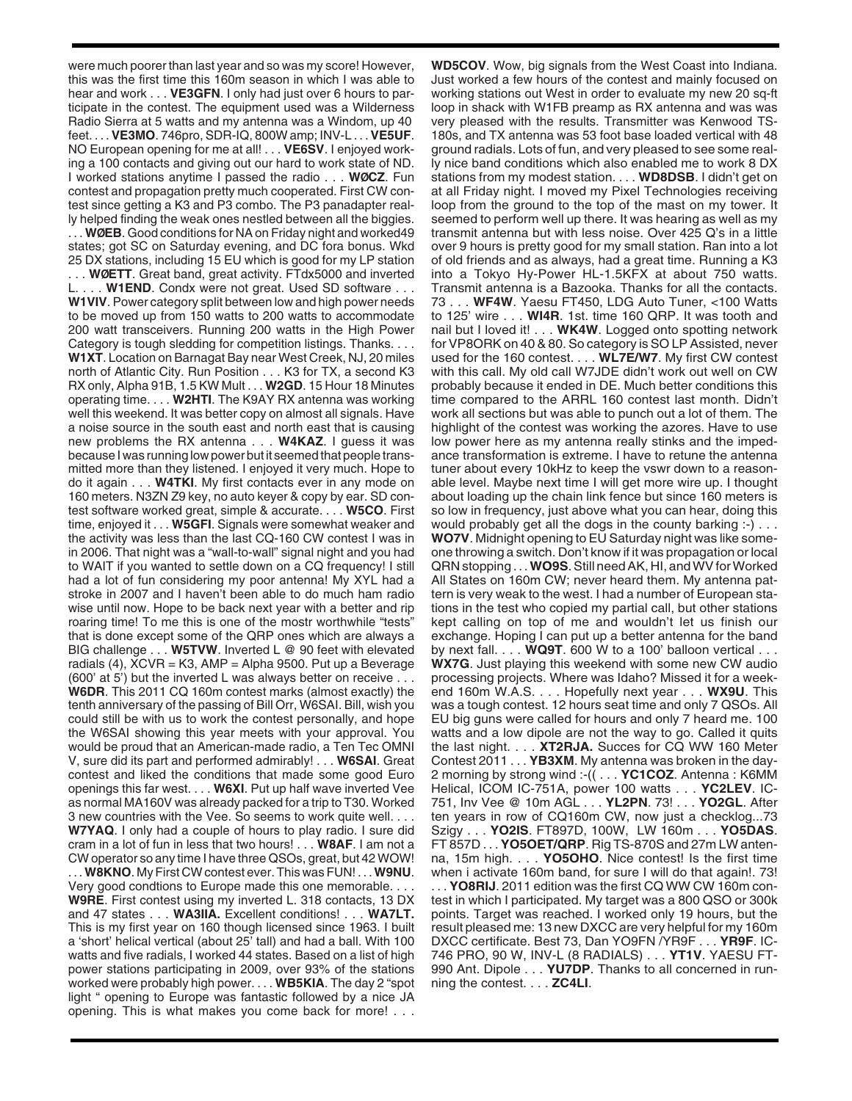were much poorer than last year and so was my score! However, this was the first time this 160m season in which I was able to hear and work . . . **VE3GFN**. I only had just over 6 hours to participate in the contest. The equipment used was a Wilderness Radio Sierra at 5 watts and my antenna was a Windom, up 40 feet. . . . **VE3MO**. 746pro, SDR-IQ, 800W amp; INV-L . . . **VE5UF**. NO European opening for me at all! . . . **VE6SV**. I enjoyed working a 100 contacts and giving out our hard to work state of ND. I worked stations anytime I passed the radio . . . **WØCZ**. Fun contest and propagation pretty much cooperated. First CW contest since getting a K3 and P3 combo. The P3 panadapter really helped finding the weak ones nestled between all the biggies. . . . **WØEB**. Good conditions for NA on Friday night and worked49 states; got SC on Saturday evening, and DC fora bonus. Wkd 25 DX stations, including 15 EU which is good for my LP station . . . **WØETT**. Great band, great activity. FTdx5000 and inverted . **W1END**. Condx were not great. Used SD software . . . **W1VIV**. Power category split between low and high power needs to be moved up from 150 watts to 200 watts to accommodate 200 watt transceivers. Running 200 watts in the High Power Category is tough sledding for competition listings. Thanks. . . . **W1XT**. Location on Barnagat Bay near West Creek, NJ, 20 miles north of Atlantic City. Run Position . . . K3 for TX, a second K3 RX only, Alpha 91B, 1.5 KW Mult . . . **W2GD**. 15 Hour 18 Minutes operating time. . . . **W2HTI**. The K9AY RX antenna was working well this weekend. It was better copy on almost all signals. Have a noise source in the south east and north east that is causing new problems the RX antenna . . . **W4KAZ**. I guess it was because I was running low power but it seemed that people transmitted more than they listened. I enjoyed it very much. Hope to do it again . . . **W4TKI**. My first contacts ever in any mode on 160 meters. N3ZN Z9 key, no auto keyer & copy by ear. SD contest software worked great, simple & accurate. . . . **W5CO**. First time, enjoyed it . . . **W5GFI**. Signals were somewhat weaker and the activity was less than the last CQ-160 CW contest I was in in 2006. That night was a "wall-to-wall" signal night and you had to WAIT if you wanted to settle down on a CQ frequency! I still had a lot of fun considering my poor antenna! My XYL had a stroke in 2007 and I haven't been able to do much ham radio wise until now. Hope to be back next year with a better and rip roaring time! To me this is one of the mostr worthwhile "tests" that is done except some of the QRP ones which are always a BIG challenge . . . **W5TVW**. Inverted L @ 90 feet with elevated radials (4),  $XCVR = K3$ ,  $AMP = Alpha 9500$ . Put up a Beverage (600' at 5') but the inverted L was always better on receive . . . **W6DR**. This 2011 CQ 160m contest marks (almost exactly) the tenth anniversary of the passing of Bill Orr, W6SAI. Bill, wish you could still be with us to work the contest personally, and hope the W6SAI showing this year meets with your approval. You would be proud that an American-made radio, a Ten Tec OMNI V, sure did its part and performed admirably! . . . **W6SAI**. Great contest and liked the conditions that made some good Euro openings this far west. . . . **W6XI**. Put up half wave inverted Vee as normal MA160V was already packed for a trip to T30. Worked 3 new countries with the Vee. So seems to work quite well. . . . **W7YAQ**. I only had a couple of hours to play radio. I sure did cram in a lot of fun in less that two hours! . . . **W8AF**. I am not a CW operator so any time I have three QSOs, great, but 42 WOW! . . . **W8KNO**. My First CW contest ever. This was FUN! . . . **W9NU**. Very good condtions to Europe made this one memorable. . . . **W9RE**. First contest using my inverted L. 318 contacts, 13 DX and 47 states . . . **WA3IIA.** Excellent conditions! . . . **WA7LT.** This is my first year on 160 though licensed since 1963. I built a 'short' helical vertical (about 25' tall) and had a ball. With 100 watts and five radials, I worked 44 states. Based on a list of high power stations participating in 2009, over 93% of the stations worked were probably high power. . . . **WB5KIA**. The day 2 "spot light " opening to Europe was fantastic followed by a nice JA opening. This is what makes you come back for more! . . .

**WD5COV**. Wow, big signals from the West Coast into Indiana. Just worked a few hours of the contest and mainly focused on working stations out West in order to evaluate my new 20 sq-ft loop in shack with W1FB preamp as RX antenna and was was very pleased with the results. Transmitter was Kenwood TS-180s, and TX antenna was 53 foot base loaded vertical with 48 ground radials. Lots of fun, and very pleased to see some really nice band conditions which also enabled me to work 8 DX stations from my modest station. . . . **WD8DSB**. I didn't get on at all Friday night. I moved my Pixel Technologies receiving loop from the ground to the top of the mast on my tower. It seemed to perform well up there. It was hearing as well as my transmit antenna but with less noise. Over 425 Q's in a little over 9 hours is pretty good for my small station. Ran into a lot of old friends and as always, had a great time. Running a K3 into a Tokyo Hy-Power HL-1.5KFX at about 750 watts. Transmit antenna is a Bazooka. Thanks for all the contacts. 73 . . . **WF4W**. Yaesu FT450, LDG Auto Tuner, <100 Watts to 125' wire . . . **WI4R**. 1st. time 160 QRP. It was tooth and nail but I loved it! . . . **WK4W**. Logged onto spotting network for VP8ORK on 40 & 80. So category is SO LP Assisted, never used for the 160 contest. . . . **WL7E/W7**. My first CW contest with this call. My old call W7JDE didn't work out well on CW probably because it ended in DE. Much better conditions this time compared to the ARRL 160 contest last month. Didn't work all sections but was able to punch out a lot of them. The highlight of the contest was working the azores. Have to use low power here as my antenna really stinks and the impedance transformation is extreme. I have to retune the antenna tuner about every 10kHz to keep the vswr down to a reasonable level. Maybe next time I will get more wire up. I thought about loading up the chain link fence but since 160 meters is so low in frequency, just above what you can hear, doing this would probably get all the dogs in the county barking :-) . . . **WO7V**. Midnight opening to EU Saturday night was like someone throwing a switch. Don't know if it was propagation or local QRN stopping . . . **WO9S**. Still need AK, HI, and WV for Worked All States on 160m CW; never heard them. My antenna pattern is very weak to the west. I had a number of European stations in the test who copied my partial call, but other stations kept calling on top of me and wouldn't let us finish our exchange. Hoping I can put up a better antenna for the band by next fall. . . . **WQ9T**. 600 W to a 100' balloon vertical . . . **WX7G**. Just playing this weekend with some new CW audio processing projects. Where was Idaho? Missed it for a weekend 160m W.A.S. . . . Hopefully next year . . . **WX9U**. This was a tough contest. 12 hours seat time and only 7 QSOs. All EU big guns were called for hours and only 7 heard me. 100 watts and a low dipole are not the way to go. Called it quits the last night. . . . **XT2RJA.** Succes for CQ WW 160 Meter Contest 2011 . . . **YB3XM**. My antenna was broken in the day-2 morning by strong wind :-(( . . . **YC1COZ**. Antenna : K6MM Helical, ICOM IC-751A, power 100 watts . . . **YC2LEV**. IC-751, Inv Vee @ 10m AGL . . . **YL2PN**. 73! . . . **YO2GL**. After ten years in row of CQ160m CW, now just a checklog...73 Szigy . . . **YO2IS**. FT897D, 100W, LW 160m . . . **YO5DAS**. FT 857D . . . **YO5OET/QRP**. Rig TS-870S and 27m LW antenna, 15m high. . . . **YO5OHO**. Nice contest! Is the first time when i activate 160m band, for sure I will do that again!. 73! . . . **YO8RIJ**. 2011 edition was the first CQ WW CW 160m contest in which I participated. My target was a 800 QSO or 300k points. Target was reached. I worked only 19 hours, but the result pleased me: 13 new DXCC are very helpful for my 160m DXCC certificate. Best 73, Dan YO9FN /YR9F . . . **YR9F**. IC-746 PRO, 90 W, INV-L (8 RADIALS) . . . **YT1V**. YAESU FT-990 Ant. Dipole . . . **YU7DP**. Thanks to all concerned in running the contest. . . . **ZC4LI**.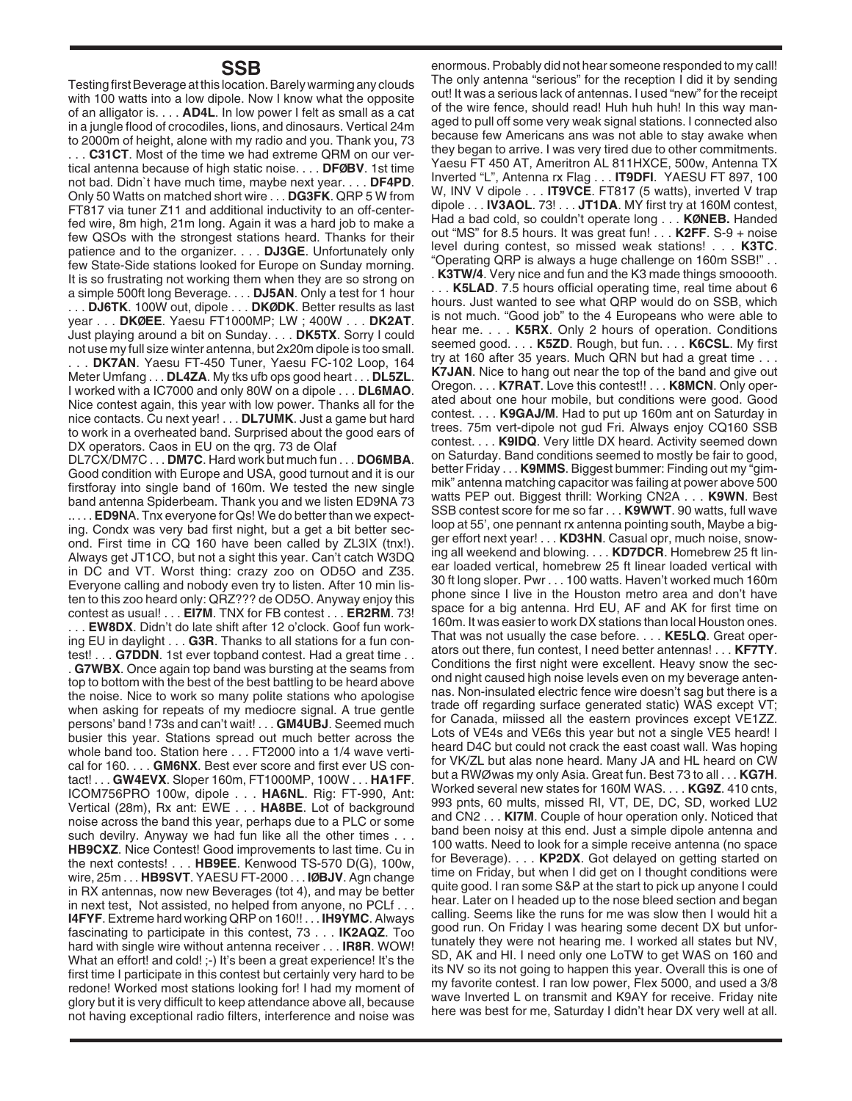## **SSB**

Testing first Beverage at this location. Barely warming any clouds with 100 watts into a low dipole. Now I know what the opposite of an alligator is. . . . **AD4L**. In low power I felt as small as a cat in a jungle flood of crocodiles, lions, and dinosaurs. Vertical 24m to 2000m of height, alone with my radio and you. Thank you, 73 . . . **C31CT**. Most of the time we had extreme QRM on our vertical antenna because of high static noise. . . . **DFØBV**. 1st time not bad. Didn`t have much time, maybe next year. . . . **DF4PD**. Only 50 Watts on matched short wire . . . **DG3FK**. QRP 5 W from FT817 via tuner Z11 and additional inductivity to an off-centerfed wire, 8m high, 21m long. Again it was a hard job to make a few QSOs with the strongest stations heard. Thanks for their patience and to the organizer. . . . **DJ3GE**. Unfortunately only few State-Side stations looked for Europe on Sunday morning. It is so frustrating not working them when they are so strong on a simple 500ft long Beverage. . . . **DJ5AN**. Only a test for 1 hour . . . **DJ6TK**. 100W out, dipole . . . **DKØDK**. Better results as last

year . . . **DKØEE**. Yaesu FT1000MP; LW ; 400W . . . **DK2AT**. Just playing around a bit on Sunday. . . . **DK5TX**. Sorry I could not use my full size winter antenna, but 2x20m dipole is too small.

. . . **DK7AN**. Yaesu FT-450 Tuner, Yaesu FC-102 Loop, 164 Meter Umfang . . . **DL4ZA**. My tks ufb ops good heart . . . **DL5ZL**. I worked with a IC7000 and only 80W on a dipole . . . **DL6MAO**. Nice contest again, this year with low power. Thanks all for the nice contacts. Cu next year! . . . **DL7UMK**. Just a game but hard to work in a overheated band. Surprised about the good ears of DX operators. Caos in EU on the qrg. 73 de Olaf

DL7CX/DM7C . . . **DM7C**. Hard work but much fun . . . **DO6MBA**. Good condition with Europe and USA, good turnout and it is our firstforay into single band of 160m. We tested the new single band antenna Spiderbeam. Thank you and we listen ED9NA 73 .. . . . **ED9N**A. Tnx everyone for Qs! We do better than we expecting. Condx was very bad first night, but a get a bit better second. First time in CQ 160 have been called by ZL3IX (tnx!). Always get JT1CO, but not a sight this year. Can't catch W3DQ in DC and VT. Worst thing: crazy zoo on OD5O and Z35. Everyone calling and nobody even try to listen. After 10 min listen to this zoo heard only: QRZ??? de OD5O. Anyway enjoy this contest as usual! . . . **EI7M**. TNX for FB contest . . . **ER2RM**. 73! **EW8DX**. Didn't do late shift after 12 o'clock. Goof fun work-

ing EU in daylight . . . **G3R**. Thanks to all stations for a fun contest! . . . **G7DDN**. 1st ever topband contest. Had a great time . .

. **G7WBX**. Once again top band was bursting at the seams from top to bottom with the best of the best battling to be heard above the noise. Nice to work so many polite stations who apologise when asking for repeats of my mediocre signal. A true gentle persons' band ! 73s and can't wait! . . . **GM4UBJ**. Seemed much busier this year. Stations spread out much better across the whole band too. Station here . . . FT2000 into a 1/4 wave vertical for 160. . . . **GM6NX**. Best ever score and first ever US contact! . . . **GW4EVX**. Sloper 160m, FT1000MP, 100W . . . **HA1FF**. ICOM756PRO 100w, dipole . . . **HA6NL**. Rig: FT-990, Ant: Vertical (28m), Rx ant: EWE . . . **HA8BE**. Lot of background noise across the band this year, perhaps due to a PLC or some such devilry. Anyway we had fun like all the other times . . . **HB9CXZ**. Nice Contest! Good improvements to last time. Cu in the next contests! . . . **HB9EE**. Kenwood TS-570 D(G), 100w, wire, 25m . . . **HB9SVT**. YAESU FT-2000 . . . **IØBJV**. Agn change in RX antennas, now new Beverages (tot 4), and may be better in next test, Not assisted, no helped from anyone, no PCLf . . . **I4FYF**. Extreme hard working QRP on 160!! . . . **IH9YMC**. Always fascinating to participate in this contest, 73 . . . **IK2AQZ**. Too hard with single wire without antenna receiver . . . **IR8R**. WOW! What an effort! and cold! ;-) It's been a great experience! It's the first time I participate in this contest but certainly very hard to be redone! Worked most stations looking for! I had my moment of glory but it is very difficult to keep attendance above all, because not having exceptional radio filters, interference and noise was enormous. Probably did not hear someone responded to my call! The only antenna "serious" for the reception I did it by sending out! It was a serious lack of antennas. I used "new" for the receipt of the wire fence, should read! Huh huh huh! In this way managed to pull off some very weak signal stations. I connected also because few Americans ans was not able to stay awake when they began to arrive. I was very tired due to other commitments. Yaesu FT 450 AT, Ameritron AL 811HXCE, 500w, Antenna TX Inverted "L", Antenna rx Flag . . . **IT9DFI**. YAESU FT 897, 100 W, INV V dipole . . . **IT9VCE**. FT817 (5 watts), inverted V trap dipole . . . **IV3AOL**. 73! . . . **JT1DA**. MY first try at 160M contest, Had a bad cold, so couldn't operate long . . . **KØNEB.** Handed out "MS" for 8.5 hours. It was great fun! . . . **K2FF**. S-9 + noise level during contest, so missed weak stations! . . . **K3TC**. "Operating QRP is always a huge challenge on 160m SSB!" . .

. **K3TW/4**. Very nice and fun and the K3 made things smooooth. . . . **K5LAD**. 7.5 hours official operating time, real time about 6 hours. Just wanted to see what QRP would do on SSB, which is not much. "Good job" to the 4 Europeans who were able to hear me. . . . **K5RX**. Only 2 hours of operation. Conditions seemed good. . . . **K5ZD**. Rough, but fun. . . . **K6CSL**. My first try at 160 after 35 years. Much QRN but had a great time . . . **K7JAN**. Nice to hang out near the top of the band and give out Oregon. . . . **K7RAT**. Love this contest!! . . . **K8MCN**. Only operated about one hour mobile, but conditions were good. Good contest. . . . **K9GAJ/M**. Had to put up 160m ant on Saturday in trees. 75m vert-dipole not gud Fri. Always enjoy CQ160 SSB contest. . . . **K9IDQ**. Very little DX heard. Activity seemed down on Saturday. Band conditions seemed to mostly be fair to good, better Friday . . . **K9MMS**. Biggest bummer: Finding out my "gimmik" antenna matching capacitor was failing at power above 500 watts PEP out. Biggest thrill: Working CN2A . . . **K9WN**. Best SSB contest score for me so far . . . **K9WWT**. 90 watts, full wave loop at 55', one pennant rx antenna pointing south, Maybe a bigger effort next year! . . . **KD3HN**. Casual opr, much noise, snowing all weekend and blowing. . . . **KD7DCR**. Homebrew 25 ft linear loaded vertical, homebrew 25 ft linear loaded vertical with 30 ft long sloper. Pwr . . . 100 watts. Haven't worked much 160m phone since I live in the Houston metro area and don't have space for a big antenna. Hrd EU, AF and AK for first time on 160m. It was easier to work DX stations than local Houston ones. That was not usually the case before. . . . **KE5LQ**. Great operators out there, fun contest, I need better antennas! . . . **KF7TY**. Conditions the first night were excellent. Heavy snow the second night caused high noise levels even on my beverage antennas. Non-insulated electric fence wire doesn't sag but there is a trade off regarding surface generated static) WAS except VT; for Canada, miissed all the eastern provinces except VE1ZZ. Lots of VE4s and VE6s this year but not a single VE5 heard! I heard D4C but could not crack the east coast wall. Was hoping for VK/ZL but alas none heard. Many JA and HL heard on CW but a RWØ was my only Asia. Great fun. Best 73 to all . . . **KG7H**. Worked several new states for 160M WAS. . . . **KG9Z**. 410 cnts, 993 pnts, 60 mults, missed RI, VT, DE, DC, SD, worked LU2 and CN2 . . . **KI7M**. Couple of hour operation only. Noticed that band been noisy at this end. Just a simple dipole antenna and 100 watts. Need to look for a simple receive antenna (no space for Beverage). . . . **KP2DX**. Got delayed on getting started on time on Friday, but when I did get on I thought conditions were quite good. I ran some S&P at the start to pick up anyone I could hear. Later on I headed up to the nose bleed section and began calling. Seems like the runs for me was slow then I would hit a good run. On Friday I was hearing some decent DX but unfortunately they were not hearing me. I worked all states but NV, SD, AK and HI. I need only one LoTW to get WAS on 160 and its NV so its not going to happen this year. Overall this is one of my favorite contest. I ran low power, Flex 5000, and used a 3/8 wave Inverted L on transmit and K9AY for receive. Friday nite here was best for me, Saturday I didn't hear DX very well at all.